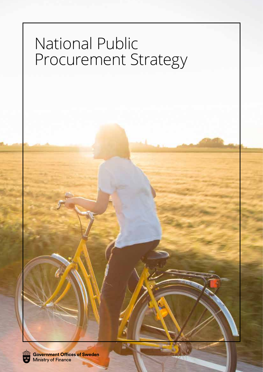# National Public Procurement Strategy

Government Offices of Sweden<br>Ministry of Finance

ÎЫ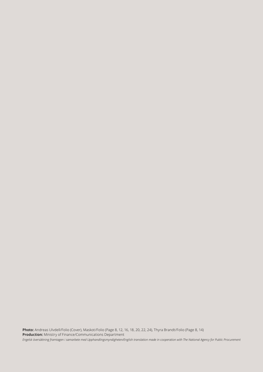**Photo:** Andreas Ulvdell/Folio (Cover), Maskot/Folio (Page 8, 12, 16, 18, 20, 22, 24), Thyra Brandt/Folio (Page 8, 14) **Production:** Ministry of Finance/Communications Department *Engelsk översättning framtagen i samarbete med Upphandlingsmyndigheten/English translation made in cooperation with The National Agency for Public Procurement*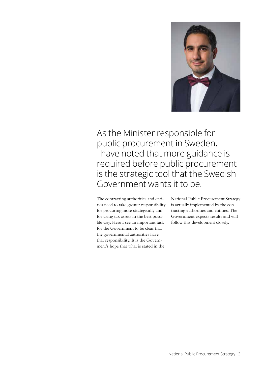

As the Minister responsible for public procurement in Sweden, I have noted that more guidance is required before public procurement is the strategic tool that the Swedish Government wants it to be.

The contracting authorities and entities need to take greater responsibility for procuring more strategically and for using tax assets in the best possible way. Here I see an important task for the Government to be clear that the governmental authorities have that responsibility. It is the Government's hope that what is stated in the

National Public Procurement Strategy is actually implemented by the contracting authorities and entities. The Government expects results and will follow this development closely.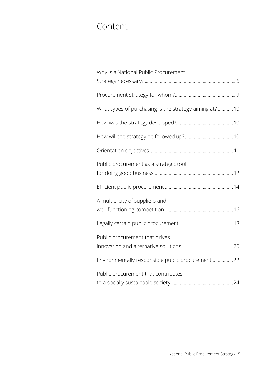# Content

| Why is a National Public Procurement                   |
|--------------------------------------------------------|
|                                                        |
|                                                        |
| What types of purchasing is the strategy aiming at? 10 |
|                                                        |
|                                                        |
|                                                        |
| Public procurement as a strategic tool                 |
|                                                        |
| A multiplicity of suppliers and                        |
|                                                        |
| Public procurement that drives                         |
| Environmentally responsible public procurement22       |
| Public procurement that contributes                    |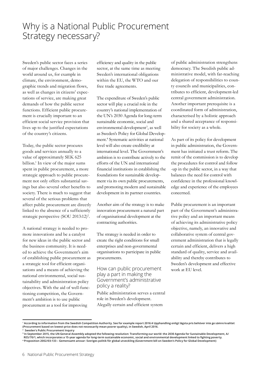Why is a National Public Procurement Strategy necessary?

Sweden's public sector faces a series of major challenges. Changes in the world around us, for example in climate, the environment, demographic trends and migration flows, as well as changes in citizens' expectations of service, are making great demands of how the public sector functions. Efficient public procurement is crucially important to an efficient social service provision that lives up to the justified expectations of the country's citizens.

Today, the public sector procures goods and services annually to a value of approximately SEK 625 billion.1 In view of the major sums spent in public procurement, a more strategic approach to public procurement not only offers substantial savings but also several other benefits to society. There is much to suggest that several of the serious problems that affect public procurement are directly linked to the absence of a sufficiently strategic perspective (SOU 2013:12)<sup>2</sup>.

A national strategy is needed to promote innovations and be a catalyst for new ideas in the public sector and the business community. It is needed to achieve the Government's aim of establishing public procurement as a strategic tool for efficient organisations and a means of achieving the national environmental, social sustainability and administration policy objectives. With the aid of well-functioning competition, the Government's ambition is to use public procurement as a tool for improving

efficiency and quality in the public sector, at the same time as meeting Sweden's international obligations within the EU, the WTO and our free trade agreements.

The expenditure of Sweden's public sector will play a crucial role in the country's national implementation of the UN's 2030 Agenda for long-term sustainable economic, social and environmental development<sup>3</sup>, as well as Sweden's Policy for Global Development.4 Systematic activities at national level will also create credibility at international level. The Government's ambition is to contribute actively to the efforts of the UN and international financial institutions in establishing the foundations for sustainable development via its own public procurements, and promoting modern and sustainable development in its partner countries.

Another aim of the strategy is to make innovation procurement a natural part of organisational development at the contracting authorities.

The strategy is needed in order to create the right conditions for small enterprises and non-governmental organisations to participate in public procurements.

How can public procurement play a part in making the Government's administrative policy a reality?

Public administration serves a central role in Sweden's development. Alegally certain and efficient system

of public administration strengthens democracy. The Swedish public administrative model, with far-reaching delegation of responsibilities to county councils and municipalities, contributes to efficient, development-led central government administration. Another important prerequisite is a coordinated form of administration, characterised by a holistic approach and a shared acceptance of responsibility for society as a whole.

As part of its policy for development in public administration, the Government has initiated a trust reform. The remit of the commission is to develop the procedures for control and follow -up in the public sector, in a way that balances the need for control with confidence in the professional knowledge and experience of the employees concerned.

Public procurement is an important part of the Government's administrative policy and an important means of achieving its administrative policy objective, namely, an innovative and collaborative system of central government administration that is legally certain and efficient, delivers a high standard of quality, service and availability and thereby contributes to Sweden's development and effective work at EU level.

**<sup>1</sup> According to information from the Swedish Competition Authority. See for example report 2016:4 Upphandling enligt lägsta pris behöver inte ge sämre kvalitet (Procurement based on lowest-price does not necessarily mean poorer quality), in Swedish, April 2016.**

**<sup>2</sup> Sweden's Public Procurement Inquiry** 

**<sup>3</sup> In September 2015, the UN General Assembly adopted the following resolution: Transforming our world: the 2030 Agenda for Sustainable Development, A/ RES/70/1, which incorporates a 15-year agenda for long-term sustainable economic, social and environmental development linked to fighting poverty. 4 Proposition 2002/03:133 – Gemensamt ansvar: Sveriges politik för global utveckling (Government bill on Sweden's Policy for Global Development)**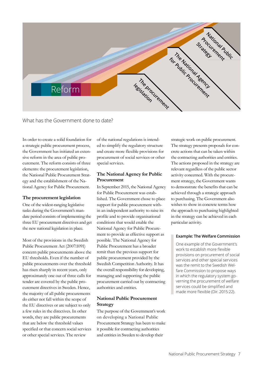

What has the Government done to date?

In order to create a solid foundation for a strategic public procurement process, the Government has initiated an extensive reform in the area of public procurement. The reform consists of three elements: the procurement legislation, the National Public Procurement Strategy and the establishment of the National Agency for Public Procurement.

#### **The procurement legislation**

One of the widest-ranging legislative tasks during the Government's mandate period consists of implementing the three EU procurement directives and get the new national legislation in place.

Most of the provisions in the Swedish Public Procurement Act (2007:1091) concern public procurements above the EU thresholds. Even if the number of public procurements over the threshold has risen sharply in recent years, only approximately one out of three calls for tender are covered by the public procurement directives in Sweden. Hence, the majority of all public procurements do either not fall within the scope of the EU directives or are subject to only a few rules in the directives. In other words, they are public procurements that are below the threshold values specified or that concern social services or other special services. The review

of the national regulations is intended to simplify the regulatory structure and create more flexible provisions for procurement of social services or other special services.

#### **The National Agency for Public Procurement**

In September 2015, the National Agency for Public Procurement was established. The Government chose to place support for public procurement within an independent authority to raise its profile and to provide organisational conditions that would enable the National Agency for Public Procurement to provide as effective support as possible. The National Agency for Public Procurement has a broader remit than the previous support for public procurement provided by the Swedish Competition Authority. It has the overall responsibility for developing, managing and supporting the public procurement carried out by contracting authorities and entities.

#### **National Public Procurement Strategy**

The purpose of the Government's work on developing a National Public Procurement Strategy has been to make it possible for contracting authorities and entities in Sweden to develop their

strategic work on public procurement. The strategy presents proposals for concrete actions that can be taken within the contracting authorities and entities. The actions proposed in the strategy are relevant regardless of the public sector activity concerned. With the procurement strategy, the Government wants to demonstrate the benefits that can be achieved through a strategic approach to purchasing. The Government also wishes to show in concrete terms how the approach to purchasing highlighted in the strategy can be achieved in each particular activity.

#### **Example: The Welfare Commission**

One example of the Government's work to establish more flexible provisions on procurement of social services and other special services was the remit to the Swedish Welfare Commission to propose ways in which the regulatory system governing the procurement of welfare services could be simplified and made more flexible (Dir. 2015:22).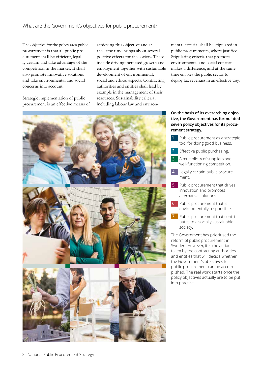#### What are the Government's objectives for public procurement?

The objective for the policy area public procurement is that all public procurement shall be efficient, legally certain and take advantage of the competition in the market. It shall also promote innovative solutions and take environmental and social concerns into account.

Strategic implementation of public procurement is an effective means of achieving this objective and at the same time brings about several positive effects for the society. These include driving increased growth and employment together with sustainable development of environmental, social and ethical aspects. Contracting authorities and entities shall lead by example in the management of their resources. Sustainability criteria, including labour law and environmental criteria, shall be stipulated in public procurements, where justified. Stipulating criteria that promote environmental and social concerns makes a difference, and at the same time enables the public sector to deploy tax revenues in an effective way.



#### **On the basis of its overarching objective, the Government has formulated seven policy objectives for its procurement strategy.**

- **1** Public procurement as a strategic tool for doing good business.
- **2** Effective public purchasing.
- **3** A multiplicity of suppliers and well-functioning competition.
- **4** Legally certain public procurement.
- **5** Public procurement that drives innovation and promotes alternative solutions.
- **6** Public procurement that is environmentally responsible.
- **7** Public procurement that contributes to a socially sustainable society.

The Government has prioritised the reform of public procurement in Sweden. However, it is the actions taken by the contracting authorities and entities that will decide whether the Government's objectives for public procurement can be accomplished. The real work starts once the policy objectives actually are to be put into practice..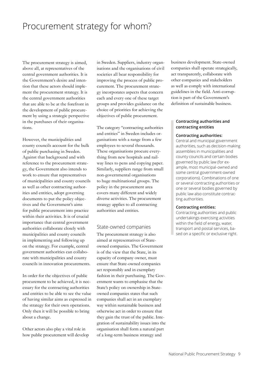## Procurement strategy for whom?

The procurement strategy is aimed, above all, at representatives of the central government authorities. It is the Government's desire and intention that these actors should implement the procurement strategy. It is the central government authorities that are able to be at the forefront in the development of public procurement by using a strategic perspective in the purchases of their organisations.

However, the municipalities and county councils account for the bulk of public purchasing in Sweden. Against that background and with reference to the procurement strategy, the Government also intends to work to ensure that representatives of municipalities and county councils as well as other contracting authorities and entities, adopt governing documents to put the policy objectives and the Government's aims for public procurement into practice within their activities. It is of crucial importance that central government authorities collaborate closely with municipalities and county councils in implementing and following up on the strategy. For example, central government authorities can collaborate with municipalities and county councils in innovation procurements.

In order for the objectives of public procurement to be achieved, it is necessary for the contracting authorities and entities to be able to see the value of having similar aims as expressed in the strategy for their own operations. Only then it will be possible to bring about a change.

Other actors also play a vital role in how public procurement will develop in Sweden. Suppliers, industry organisations and the organisations of civil societies all bear responsibility for improving the process of public procurement. The procurement strategy incorporates aspects that concern each and every one of these target groups and provides guidance on the choice of priorities for achieving the objectives of public procurement.

The category "contracting authorities and entities" in Sweden includes organisations with a range from a few employees to several thousands. These organisations procure everything from new hospitals and railway lines to pens and copying paper. Similarly, suppliers range from small non-governmental organisations to huge multinational groups. The policy in the procurement area covers many different and widely diverse activities. The procurement strategy applies to all contracting authorities and entities.

#### State-owned companies

The procurement strategy is also aimed at representatives of Stateowned companies. The Government is of the view that the State, in its capacity of company owner, must ensure that State-owned companies act responsibly and in exemplary fashion in their purchasing. The Government wants to emphasise that the State's policy on ownership in Stateowned companies states that such companies shall act in an exemplary way within sustainable business and otherwise act in order to ensure that they gain the trust of the public. Integration of sustainability issues into the organisation shall form a natural part of a long-term business strategy and

business development. State-owned companies shall operate strategically, act transparently, collaborate with other companies and stakeholders as well as comply with international guidelines in the field. Anti-corruption is part of the Government's definition of sustainable business.

#### **Contracting authorities and contracting entities**

#### **Contracting authorities:**

Central and municipal government authorities, such as decision-making assemblies in municipalities and county councils and certain bodies governed by public law (for example, most municipal-owned and some central government-owned corporations). Combinations of one or several contracting authorities or one or several bodies governed by public law also constitute contracting authorities.

#### **Contracting entities:**

Contracting authorities and public undertakings exercising activities within the field of energy, water, transport and postal services, based on a specific or exclusive right.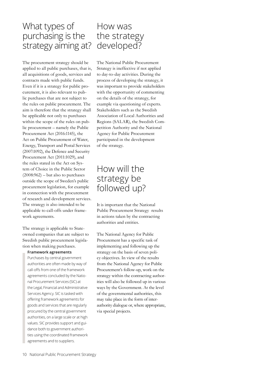# What types of purchasing is the strategy aiming at?

The procurement strategy should be applied to all public purchases, that is, all acquisitions of goods, services and contracts made with public funds. Even if it is a strategy for public procurement, it is also relevant to public purchases that are not subject to the rules on public procurement. The aim is therefore that the strategy shall be applicable not only to purchases within the scope of the rules on public procurement – namely the Public Procurement Act (2016:1145), the Act on Public Procurement of Water, Energy, Transport and Postal Services (2007:1092), the Defence and Security Procurement Act (2011:1029), and the rules stated in the Act on System of Choice in the Public Sector  $(2008:962)$  – but also to purchases outside the scope of Sweden's public procurement legislation, for example in connection with the procurement of research and development services. The strategy is also intended to be applicable to call-offs under framework agreements.

The strategy is applicable to Stateowned companies that are subject to Swedish public procurement legislation when making purchases.

#### **Framework agreements**

Purchases by central government authorities are often made by way of call-offs from one of the framework agreements concluded by the National Procurement Services (SIC) at the Legal, Financial and Administrative Services Agency. SIC is tasked with offering framework agreements for goods and services that are regularly procured by the central government authorities, on a large scale or at high values. SIC provides support and guidance both to government authorities using the coordinated framework agreements and to suppliers.

## How was the strategy developed?

The National Public Procurement Strategy is ineffective if not applied to day-to-day activities. During the process of developing the strategy, it was important to provide stakeholders with the opportunity of commenting on the details of the strategy, for example via questioning of experts. Stakeholders such as the Swedish Association of Local Authorities and Regions (SALAR), the Swedish Competition Authority and the National Agency for Public Procurement participated in the development of the strategy.

## How will the strategy be followed up?

It is important that the National Public Procurement Strategy results in actions taken by the contracting authorities and entities.

The National Agency for Public Procurement has a specific task of implementing and following up the strategy on the basis of seven policy objectives. In view of the results from the National Agency for Public Procurement's follow-up, work on the strategy within the contracting authorities will also be followed up in various ways by the Government. At the level of the governmental authorities, this may take place in the form of interauthority dialogue or, where appropriate, via special projects.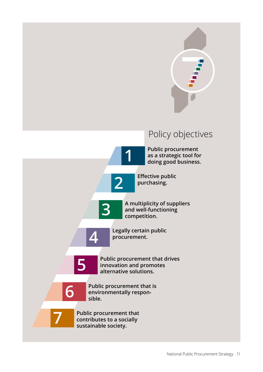

# Policy objectives

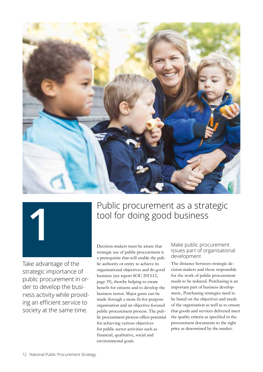



Take advantage of the strategic importance of public procurement in order to develop the business activity while providing an efficient service to society at the same time.

# **1** Public procurement as a strategic tool for doing good business

Decision-makers must be aware that strategic use of public procurement is a prerequisite that will enable the public authority or entity to achieve its organisational objectives and do good business (see report SOU 2013:12, page 19), thereby helping to create benefit for citizens and to develop the business sector. Major gains can be made through a more fit-for-purpose organisation and an objective-focused public procurement process. The public procurement process offers potential for achieving various objectives for public sector activities such as financial, qualitative, social and environmental goals.

#### Make public procurement issues part of organisational development

The distance between strategic decision-makers and those responsible for the work of public procurement needs to be reduced. Purchasing is an important part of business development., Purchasing strategies need to be based on the objectives and needs of the organisation as well as to ensure that goods and services delivered meet the quality criteria as specified in the procurement documents to the right price as determined by the market.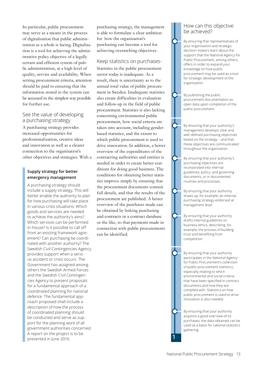In particular, public procurement may serve as a means in the process of digitalisation that public administration as a whole is facing. Digitalisation is a tool for achieving the administrative policy objective of a legally certain and efficient system of public administration, at a high level of quality, service and availability. When setting procurement criteria, attention should be paid to ensuring that the information stored in the system can be accessed in the simplest way possible for further use.

#### See the value of developing a purchasing strategy A purchasing strategy provides

increased opportunities for professionalization, creative ideas and innovation as well as a clearer connection to the organisation's other objectives and strategies. With a

#### **Supply strategy for better emergency management**

A purchasing strategy should include a supply strategy. This will better enable the authority to plan for how purchasing will take place in various crisis situations: Which goods and services are needed to achieve the authority's aims? Which services can be performed in-house? Is it possible to call off from an existing framework agreement? Can purchasing be coordinated with another authority? The Swedish Civil Contingencies Agency provides support when a serious accident or crisis occurs. The Government has assigned among others the Swedish Armed Forces and the Swedish Civil Contingencies Agency to present proposals for a fundamental approach of a coordinated planning for national defence. The fundamental approach proposed shall include a description of how the process of coordinated planning should be conducted and serve as support for the planning work of all government authorities concerned. A report on the project is to be presented in June 2016. **1**

purchasing strategy, the management is able to formulate a clear ambition for how the organisation's purchasing can become a tool for achieving overarching objectives.

#### Keep statistics on purchases-

Statistics in the public procurement sector today is inadequate. As a result, there is uncertainty as to the annual total value of public procurement in Sweden. Inadequate statistics also create difficulties in evaluation and follow-up in the field of public procurement. Statistics is also lacking concerning environmental public procurement, how social criteria are taken into account, including genderbased statistics, and the extent to which public procurement is used to drive innovation. In addition, a better overview of the expenditures of the contracting authorities and entities is needed in order to create better conditions for doing good business. The conditions for obtaining better statistics improve simply by ensuring that the procurement documents contain full details, and that the results of the procurement are published. A better overview of the purchases made can be obtained by linking purchasing and contracts in a contract database or the like, so that payments made in connection with public procurements can be identified.

#### How can this objective be achieved?

By ensuring that representatives of your organisation and strategic decision-makers learn about the support that the National Agency for Public Procurement, among others, offers in order to expand your knowledge on how public procurement may be used as a tool for strategic development of the organisation.

By publishing the public procurement documentation as open data upon completion of the public procurement.

By ensuring that your authority's management develops clear and well-defined purchasing objectives based on the strategy – and that these objectives are communicated throughout the organisation.

By ensuring that your authority's purchasing objectives are incorporated into internal guidelines, policy- and governing documents, or in documented routines and processes.

By ensuring that your authority draws up, for example, an internal purchasing strategy endorsed at management level.

By ensuring that your authority drafts internal guidelines on business ethics, describing, for example, the process of building trust and benefiting from competition.

By ensuring that your authority participates in the National Agency for Public Procurement's collection of public procurement statistics, especially relating to which environmental and social criteria that have been specified in contract documents and how they are complied with. Statistics on how public procurement is used to drive innovation is also needed.

By ensuring that your authority acquires a good overview of its purchases, the data obtained can be used as a basis for national statistics gathering.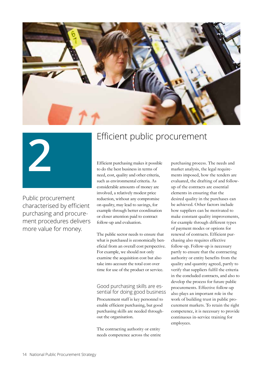



Public procurement characterised by efficient purchasing and procurement procedures delivers more value for money.

# **2** Efficient public procurement

Efficient purchasing makes it possible to do the best business in terms of need, cost, quality and other criteria, such as environmental criteria. As considerable amounts of money are involved, a relatively modest price reduction, without any compromise on quality, may lead to savings, for example through better coordination or closer attention paid to contract follow-up and evaluation.

The public sector needs to ensure that what is purchased is economically beneficial from an overall cost perspective. For example, we should not only examine the acquisition cost but also take into account the total cost over time for use of the product or service.

#### Good purchasing skills are essential for doing good business

Procurement staff is key personnel to enable efficient purchasing, but good purchasing skills are needed throughout the organisation.

The contracting authority or entity needs competence across the entire purchasing process. The needs and market analysis, the legal requirements imposed, how the tenders are evaluated, the drafting of and followup of the contracts are essential elements in ensuring that the desired quality in the purchases can be achieved. Other factors include how suppliers can be motivated to make constant quality improvements, for example through different types of payment modes or options for renewal of contracts. Efficient purchasing also requires effective follow-up. Follow-up is necessary partly to ensure that the contracting authority or entity benefits from the quality and quantity agreed, partly to verify that suppliers fulfil the criteria in the concluded contracts, and also to develop the process for future public procurements. Effective follow-up also plays an important role in the work of building trust in public procurement markets. To retain the right competence, it is necessary to provide continuous in-service training for employees.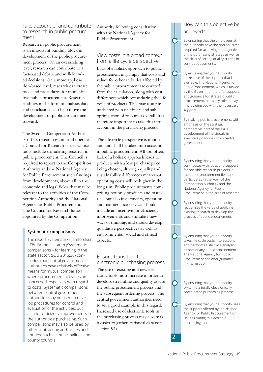#### Take account of and contribute to research in public procurement

Research in public procurement is an important building block in development of the public procurement process. On an overarching level, research can contribute to a fact-based debate and well-founded decisions. On a more application-based level, research can create tools and procedures for more effective public procurement. Research findings in the form of analysis data and conclusions can help move the development of public procurement forward.

The Swedish Competition Authority offers research grants and operates a Council for Research Issues whose tasks include stimulating research in public procurement. The Council is required to report to the Competition Authority and the National Agency for Public Procurement such findings from developments, above all in the economic and legal fields that may be relevant to the activities of the Competition Authority and the National Agency for Public Procurement. The Council for Research Issues is appointed by the Competition

#### **Systematic comparisons**

The report Systematiska jämförelser - För lärande i staten (Systematic comparisons – for learning in the state sector; SOU 2015:36) concludes that central government authorities have relatively effective means for mutual comparison where procurement activities are concerned, especially with regard to costs. Systematic comparisons between central government authorities may be used to develop procedures for control and evaluation of the activities, but also for efficiency improvements in the authorities' purchasing. Such comparisons may also be used by other contracting authorities and entities, such as municipalities and county councils.

Authority following consultation with the National Agency for Public Procurement.

#### View costs in a broad context from a life cycle perspective

Lack of a holistic approach to public procurement may imply that costs and values for other activities affected by the public procurement are omitted from the calculation, along with cost differences which occur during the life cycle of products. This may result in undesired pass on effects and suboptimisation of resources overall. It is therefore important to take this into account in the purchasing process.

The life cycle perspective is important, and shall be taken into account in public procurement. All too often, lack of a holistic approach leads to products with a low purchase price being chosen, although quality and sustainability differences mean that operating costs will be higher in the long run. Public procurements comprising not only products and materials but also investments, operation and maintenance services should include an incentive for efficiency improvements and stimulate new ways of thinking, and should develop qualitative perspectives as well as environmental, social and ethical aspects.

Ensure transition to an electronic purchasing process The use of existing and new electronic tools must increase in order to develop, streamline and quality assure the public procurement process and the subsequent ordering process. The central government authorities need to set a good example in this regard. Increased use of electronic tools in the purchasing process may also make it easier to gather statistical data (see section 5.1).

#### How can this objective be achieved?

By ensuring that the employees at the authority have the prerequisites required for achieving the objectives of the purchasing strategy as well as the skills of setting quality criteria in contract documents.

By ensuring that your authority makes use of the support that is available. The National Agency for Public Procurement, which is tasked by the Government to offer support and guidance for strategic public procurement, has a key role to play in providing you with the necessary support.

By making public procurement, with emphasis on the strategic perspective, part of the skills development of individuals in executive positions within central government.

By ensuring that your authority contributes with ideas and support for possible research projects in the public procurement field and participates in the work of the Competition Authority and the National Agency for Public Procurement in the area of research.

By ensuring that your authority recognises the value of applying existing research to develop the process of public procurement.

By ensuring that your authority takes life cycle costs into account and performs a life cycle analysis as part of any public procurement. The National Agency for Public Procurement can offer guidance in this respect.

By ensuring that your authority switch to a totally electronically coordinated purchasing process.

By ensuring that your authority uses the support offered by the National Agency for Public Procurement on issues relating to electronic purchasing tools.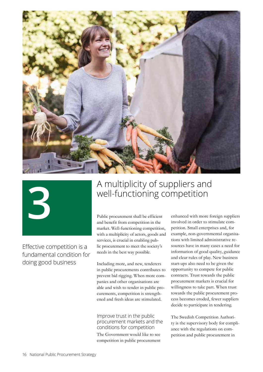



Effective competition is a fundamental condition for doing good business

# **3** A multiplicity of suppliers and<br>well-functioning competition well-functioning competition

Public procurement shall be efficient and benefit from competition in the market. Well-functioning competition, with a multiplicity of actors, goods and services, is crucial in enabling public procurement to meet the society's needs in the best way possible.

Including more, and new, tenderers in public procurements contributes to prevent bid rigging. When more companies and other organisations are able and wish to tender in public procurements, competition is strengthened and fresh ideas are stimulated.

Improve trust in the public procurement markets and the conditions for competition The Government would like to see competition in public procurement

enhanced with more foreign suppliers involved in order to stimulate competition. Small enterprises and, for example, non-governmental organisations with limited administrative resources have in many cases a need for information of good quality, guidance and clear rules of play. New business start-ups also need to be given the opportunity to compete for public contracts. Trust towards the public procurement markets is crucial for willingness to take part. When trust towards the public procurement process becomes eroded, fewer suppliers decide to participate in tendering.

The Swedish Competition Authority is the supervisory body for compliance with the regulations on competition and public procurement in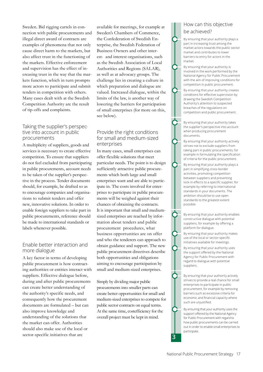Sweden. Bid rigging cartels in connection with public procurements and illegal direct award of contracts are examples of phenomena that not only cause direct harm to the markets, but also affect trust in the functioning of the markets. Effective enforcement and supervision has the effect of increasing trust in the way that the markets function, which in turn prompts more actors to participate and submit tenders in competition with others. Many cases dealt with at the Swedish Competition Authority are the result of tip-offs and complaints.

#### Taking the supplier's perspective into account in public procurements

A multiplicity of suppliers, goods and services is necessary to create effective competition. To ensure that suppliers do not feel excluded from participating in public procurements, account needs to be taken of the supplier's perspective in the process. Tender documents should, for example, be drafted so as to encourage companies and organisations to submit tenders and offer new, innovative solutions. In order to enable foreign suppliers to take part in public procurements, reference should be made to international standards or labels whenever possible.

#### Enable better interaction and more dialogue

A key factor in terms of developing public procurement is how contracting authorities or entities interact with suppliers. Effective dialogue before, during and after public procurements can create better understanding of the authority's specific needs, and consequently how the procurement documents are formulated – but can also improve knowledge and understanding of the solutions that the market can offer. Authorities should also make use of the local or sector-specific initiatives that are **3** 

available for meetings, for example at Sweden's Chambers of Commerce, the Confederation of Swedish Enterprise, the Swedish Federation of Business Owners and other interest- and interest organisations, such as the Swedish Association of Local Authorities and Regions (SALAR), as well as at advocacy groups. The challenge lies in creating a culture in which preparation and dialogue are valued. Increased dialogue, within the limits of the law, is another way of lowering the barriers for participation of small enterprises (for more on this, see below).

#### Provide the right conditions for small and medium-sized enterprises

In many cases, small enterprises can offer flexible solutions that meet particular needs. The point is to design sufficiently attractive public procurements which both large and small enterprises want and are able to participate in. The costs involved for enterprises to participate in public procurements will be weighed against their chances of obtaining the contracts. It is important that small and mediumsized enterprises are reached by information about tenders and public procurement procedures, what business opportunities are on offer and who the tenderers can approach to obtain guidance and support. The new public procurement directives describe both opportunities and obligations aiming to encourage participation by small and medium-sized enterprises.

Simply by dividing major public procurements into smaller parts can create better opportunities for small and medium-sized enterprises to compete for public sector contracts on equal terms. At the same time, costefficiency for the overall project must be kept in mind.

#### How can this objective be achieved?

By ensuring that your authority plays a part in increasing trust among the market actors towards the public sector market and contributes to lower barriers to entry for actors in the market.

By ensuring that your authority is involved in the work performed by the National Agency for Public Procurement with the aim of improving conditions for competition in public procurement.

By ensuring that your authority creates conditions for effective supervision by drawing the Swedish Competition Authority's attention to suspected breaches of the regulations on competition and public procurement.

By ensuring that your authority takes the supplier's perspective into account when producing procurement documents.

By ensuring that your authority actively strives not to exclude suppliers from taking part in public procurements, for example in formulating the specification of criteria for the public procurement.

By ensuring that your authority plays a part in simplifying cross-border activities, promoting competition between suppliers and preventing lock-in effects to a specific supplier, for example by referring to international standards in your documents. The ambition should be to use open standards to the greatest extent possible.

By ensuring that your authority enables constructive dialogue with potential suppliers, for example by offering a platform for dialogue.

By ensuring that your authority makes use of the local or sector-specific initiatives available for meetings.

By ensuring that your authority uses the support offered by the National Agency for Public Procurement with regard to dialogue with potential suppliers.

By ensuring that your authority actively strives to provide a real chance for small enterprises to participate in public procurement, for example by removing barriers such as excessive criteria for economic and financial capacity where such are unjustified.

By ensuring that your authority uses the support offered by the National Agency for Public Procurement with regard to how public procurements can be carried out in order to enable small enterprises to participate.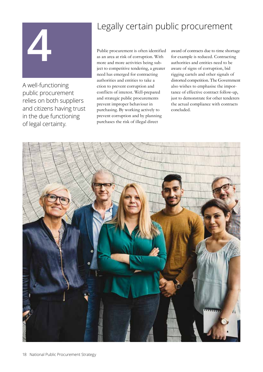# **14 Legally certain public procurement**<br>Public procurement is often identified award of contracts due to time shore

A well-functioning public procurement relies on both suppliers and citizens having trust in the due functioning of legal certainty.

Public procurement is often identified as an area at risk of corruption. With more and more activities being subject to competitive tendering, a greater need has emerged for contracting authorities and entities to take a ction to prevent corruption and conflicts of interest. Well-prepared and strategic public procurements prevent improper behaviour in purchasing. By working actively to prevent corruption and by planning purchases the risk of illegal direct

award of contracts due to time shortage for example is reduced. Contracting authorities and entities need to be aware of signs of corruption, bid rigging cartels and other signals of distorted competition. The Government also wishes to emphasise the importance of effective contract follow-up, just to demonstrate for other tenderers the actual compliance with contracts concluded.

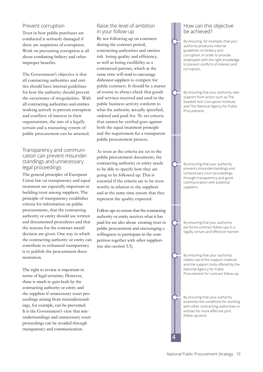#### Prevent corruption

Trust in how public purchases are conducted is seriously damaged if there are suspicions of corruption. Work on preventing corruption is all about combating bribery and other improper benefits.

The Government's objective is that all contracting authorities and entities should have internal guidelines for how the authority should prevent the occurrence of irregularities. With all contracting authorities and entities working actively to prevent corruption and conflicts of interest in their organisations, the aim of a legally certain and a reassuring system of public procurement can be attained.

#### Transparency and communication can prevent misunderstandings and unnecessary legal proceedings

The general principles of European Union law on transparency and equal treatment are especially important in building trust among suppliers. The principle of transparency establishes criteria for information on public procurements, that the contracting authority or entity should use written and documented procedures and that the reasons for the contract award decision are given. One way in which the contracting authority or entity can contribute to enhanced transparency is to publish the procurement documentation.

The right to review is important in terms of legal certainty. However, there is much to gain both by the contracting authority or entity and the suppliers if unnecessary court proceedings arising from misunderstandings, for example, can be prevented. It is the Government's view that misunderstandings and unnecessary court proceedings can be avoided through transparency and communication.

#### Raise the level of ambition in your follow-up

By not following up on contracts during the contract period, contracting authorities and entities risk losing quality and efficiency, as well as losing credibility as a contractual partner, which at the same time will tend to encourage dishonest suppliers to compete for public contracts. It should be a matter of course to always check that goods and services received and used in the public business activity conform to what the authority actually specified, ordered and paid for. To set criteria that cannot be verified goes against both the equal treatment principle and the requirement for a transparent public procurement process.

As soon as the criteria are set in the public procurement documents, the contracting authority or entity needs to be able to specify how they are going to be followed up. This is essential if the criteria are to be trustworthy in relation to the suppliers and at the same time ensure that they represent the quality expected.

Follow-ups to ensure that the contracting authority or entity receives what it has paid for are also about creating trust in public procurement and encouraging a willingness to participate in the competition together with other suppliers (see also section 3.3).

#### How can this objective be achieved?

By ensuring, for example, that your authority produces internal guidelines on bribery and corruption, in order to provide employees with the right knowledge to prevent conflicts of interest and corruption.

By ensuring that your authority take support from actors such as The Swedish Anti-Corruption Institute and The National Agency for Public **Procurement** 

By ensuring that your authority prevents misunderstandings and unnecessary court proceedings through transparency and good communication with potential suppliers.

By ensuring that your authority performs contract follow-ups in a legally certain and effective manner.

By ensuring that your authority makes use of the support material and the support tools offered by the National Agency for Public Procurement for contract follow-up..

By ensuring that your authority examines the conditions for working with other contracting authorities or entities for more effective joint follow-up work.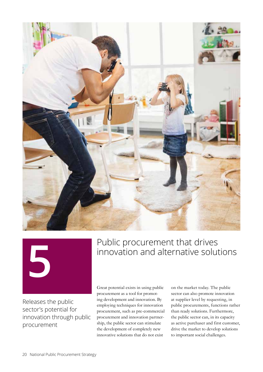



Releases the public sector's potential for innovation through public procurement

# **Factor Public procurement that drives**<br> **5 Public procurement that drives**<br> **5 Public procurement that drives** innovation and alternative solutions

Great potential exists in using public procurement as a tool for promoting development and innovation. By employing techniques for innovation procurement, such as pre-commercial procurement and innovation partnership, the public sector can stimulate the development of completely new innovative solutions that do not exist

on the market today. The public sector can also promote innovation at supplier level by requesting, in public procurements, functions rather than ready solutions. Furthermore, the public sector can, in its capacity as active purchaser and first customer, drive the market to develop solutions to important social challenges.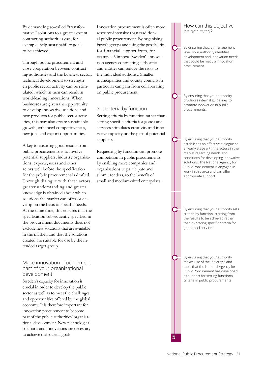By demanding so-called "transformative" solutions to a greater extent, contracting authorities can, for example, help sustainability goals to be achieved.

Through public procurement and close cooperation between contracting authorities and the business sector, technical development to strengthen public sector activity can be stimulated, which in turn can result in world-leading innovations. When businesses are given the opportunity to develop innovative solutions and new products for public sector activities, this may also create sustainable growth, enhanced competitiveness, new jobs and export opportunities.

A key to ensuring good results from public procurements is to involve potential suppliers, industry organisations, experts, users and other actors well before the specification for the public procurement is drafted. Through dialogue with these actors, greater understanding and greater knowledge is obtained about which solutions the market can offer or develop on the basis of specific needs. At the same time, this ensures that the specification subsequently specified in the procurement documents does not exclude new solutions that are available in the market, and that the solutions created are suitable for use by the intended target group.

#### Make innovation procurement part of your organisational development

Sweden's capacity for innovation is crucial in order to develop the public sector as well as to meet the challenges and opportunities offered by the global economy. It is therefore important for innovation procurement to become part of the public authorities' organisational development. New technological solutions and innovations are necessary to achieve the societal goals.

Innovation procurement is often more resource-intensive than traditional public procurement. By organising buyer's groups and using the possibilities for financial support from, for example, Vinnova -Sweden's innovation agency contracting authorities and entities can reduce the risks to the individual authority. Smaller municipalities and county councils in particular can gain from collaborating on public procurement.

#### Set criteria by function

Setting criteria by function rather than setting specific criteria for goods and services stimulates creativity and innovative capacity on the part of potential suppliers.

Requesting by function can promote competition in public procurements by enabling more companies and organisations to participate and submit tenders, to the benefit of small and medium-sized enterprises.

#### How can this objective be achieved?

By ensuring that, at management level, your authority identifies development and innovation needs that could be met via innovation procurement.

By ensuring that your authority produces internal guidelines to promote innovation in public procurements.

By ensuring that your authority establishes an effective dialogue at an early stage with the actors in the market regarding needs and conditions for developing innovative solutions. The National Agency for Public Procurement is engaged in work in this area and can offer appropriate support.

By ensuring that your authority sets criteria by function, starting from the results to be achieved rather than by stating specific criteria for goods and services.

By ensuring that your authority makes use of the initiatives and tools that the National Agency for Public Procurement has developed as support for setting functional criteria in public procurements.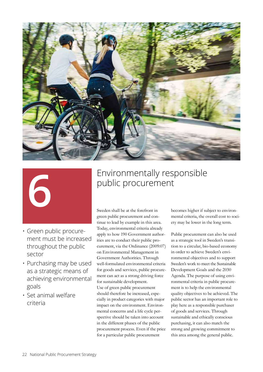

- Green public procurement must be increased throughout the public sector
- Purchasing may be used as a strategic means of achieving environmental goals
- Set animal welfare criteria

# **6** Environmentally responsible<br>
public procurement public procurement

Sweden shall be at the forefront in green public procurement and continue to lead by example in this area. Today, environmental criteria already apply to how 190 Government authorities are to conduct their public procurement, via the Ordinance (2009:07) on Environmental Management in Government Authorities. Through well-formulated environmental criteria for goods and services, public procurement can act as a strong driving force for sustainable development. Use of green public procurement should therefore be increased, especially in product categories with major impact on the environment. Environmental concerns and a life cycle perspective should be taken into account in the different phases of the public procurement process. Even if the price for a particular public procurement

becomes higher if subject to environmental criteria, the overall cost to society may be lower in the long term.

Public procurement can also be used as a strategic tool in Sweden's transition to a circular, bio-based economy in order to achieve Sweden's environmental objectives and to support Sweden's work to meet the Sustainable Development Goals and the 2030 Agenda. The purpose of using environmental criteria in public procurement is to help the environmental quality objectives to be achieved. The public sector has an important role to play here as a responsible purchaser of goods and services. Through sustainable and ethically conscious purchasing, it can also match the strong and growing commitment to this area among the general public.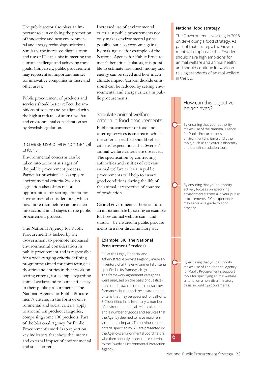The public sector also plays an important role in enabling the promotion of innovative and new environmental and energy technology solutions. Similarly, the increased digitalisation and use of IT can assist in meeting the climate challenge and achieving these goals. Conversely, public procurement may represent an important market for innovative companies in these and other areas.

Public procurement of products and services should better reflect the ambitions of society and be aligned with the high standards of animal welfare and environmental consideration set by Swedish legislation.

#### Increase use of environmental criteria

Environmental concerns can be taken into account at stages of the public procurement process. Particular provisions also apply to environmental criteria. Swedish legislation also offers major opportunities for setting criteria for environmental consideration, which now more than before can be taken into account at all stages of the public procurement process.

The National Agency for Public Procurement is tasked by the Government to promote increased environmental consideration in public procurement and is responsible for a wide-ranging criteria-defining programme aimed for contracting authorities and entities in their work on setting criteria, for example regarding animal welfare and resource efficiency in their public procurements. The National Agency for Public Procurement's criteria, in the form of environmental and social criteria, apply to around ten product categories, comprising some 100 products. Part of the National Agency for Public Procurement's work is to report on key indicators that show the internal and external impact of environmental and social criteria.

Increased use of environmental criteria in public procurements not only makes environmental gains possible but also economic gains. By making use, for example, of the National Agency for Public Procurement's benefit calculators, it is possible to estimate how much money and energy can be saved and how much climate impact (carbon dioxide emissions) can be reduced by setting environmental and energy criteria in public procurements.

#### Stipulate animal welfare criteria in food procurements-

Public procurement of food and catering services is an area in which the criteria specified should reflect citizens' expectations that Sweden's animal welfare criteria are observed. The specification by contracting authorities and entities of relevant animal welfare criteria in public procurements will help to ensure good conditions during the life of the animal, irrespective of country of production.

Central government authorities fulfil an important role by setting an example for how animal welfare can – and should – be ensured in public procurements in a non-discriminatory way

#### **Example: SIC (the National Procurement Services)**

SIC at the Legal, Financial and Administrative Services Agency made an inventory of all the environmental criteria specified in its framework agreements. The framework agreement categories were analysed on the basis of qualification criteria, award criteria, contract performance clauses and the environmental criteria that may be specified for call-offs. SIC identified in its inventory, a number of environment-critical technical areas and a number of goods and services that the Agency deemed to have major environmental impact. The environmental criteria specified by SIC are presented by the Agency's environmental coordinators, who then annually report these criteria to the Swedish Environmental Protection Agency.

#### **National food strategy**

The Government is working in 2016 on developing a food strategy. As part of that strategy, the Government will emphasise that Sweden should have high ambitions for animal welfare and animal health, and should continue its work on raising standards of animal welfare in the EU.

#### How can this objective be achieved?

By ensuring that your authority makes use of the National Agency for Public Procurement's environmental criteria and other tools, such as the criteria directory and benefit calculation tools.

By ensuring that your authority actively focuses on specifying environmental criteria in your public procurements. SIC's experiences may serve as a guide to good practice.

By ensuring that your authority makes use of The National Agency for Public Procurement's support tools for specifying animal welfare criteria, on a non-discriminatory basis, in public procurements.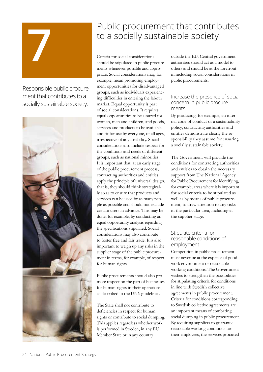

Responsible public procurement that contributes to a socially sustainable society.



# **7** Public procurement that contributes to a socially sustainable society

Criteria for social considerations should be stipulated in public procurements whenever possible and appropriate. Social considerations may, for example, mean promoting employment opportunities for disadvantaged groups, such as individuals experiencing difficulties in entering the labour market. Equal opportunity is part of social considerations. It requires equal opportunities to be assured for women, men and children, and goods, services and products to be available and fit for use by everyone, of all ages, irrespective of any disability. Social considerations also include respect for the conditions and needs of different groups, such as national minorities. It is important that, at an early stage of the public procurement process, contracting authorities and entities apply the principle of universal design, that is, they should think strategically so as to ensure that products and services can be used by as many people as possible and should not exclude certain users in advance. This may be done, for example, by conducting an equal opportunity analysis regarding the specifications stipulated. Social considerations may also contribute to foster free and fair trade. It is also important to weigh up any risks in the supplier stage of the public procurement in terms, for example, of respect for human rights.

Public procurements should also promote respect on the part of businesses for human rights in their operations, as described in the UN's guidelines.

The State shall not contribute to deficiencies in respect for human rights or contribute to social dumping. This applies regardless whether work is performed in Sweden, in any EU Member State or in any country

outside the EU. Central government authorities should act as a model to others and should be at the forefront in including social considerations in public procurements.

#### Increase the presence of social concern in public procurements

By producing, for example, an internal code of conduct or a sustainability policy, contracting authorities and entities demonstrate clearly the responsibility they assume for ensuring a socially sustainable society.

The Government will provide the conditions for contracting authorities and entities to obtain the necessary support from The National Agency for Public Procurement for identifying, for example, areas where it is important for social criteria to be stipulated as well as by means of public procurement, to draw attention to any risks in the particular area, including at the supplier stage.

#### Stipulate criteria for reasonable conditions of employment

Competition in public procurement must never be at the expense of good work environment or reasonable working conditions. The Government wishes to strengthen the possibilities for stipulating criteria for conditions in line with Swedish collective agreements in public procurement. Criteria for conditions corresponding to Swedish collective agreements are an important means of combating social dumping in public procurement. By requiring suppliers to guarantee reasonable working conditions for their employees, the services procured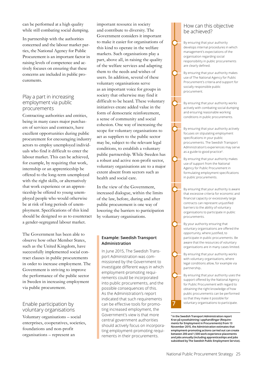can be performed at a high quality while still combating social dumping.

In partnership with the authorities concerned and the labour market parties, the National Agency for Public Procurement is an important factor in raising levels of competence and actively focuses on ensuring that these concerns are included in public procurements.

#### Play a part in increasing employment via public procurements

Contracting authorities and entities, being in many cases major purchasers of services and contracts, have excellent opportunities during public procurement for encouraging industry actors to employ unemployed individuals who find it difficult to enter the labour market. This can be achieved, for example, by requiring that work, internship or an apprenticeship be offered to the long-term unemployed with the right skills, or alternatively that work experience or an apprenticeship be offered to young unemployed people who would otherwise be at risk of long periods of unemployment. Specifications of this kind should be designed so as to counteract a gender-segregated labour market.

The Government has been able to observe how other Member States, such as the United Kingdom, have successfully implemented social contract clauses in public procurements in order to increase employment. The Government is striving to improve the performance of the public sector in Sweden in increasing employment via public procurement.

#### Enable participation by voluntary organisations

Voluntary organisations – social enterprises, cooperatives, societies, foundations and non-profit organisations – represent an

important resource in society and contribute to diversity. The Government considers it important to make it easier for organisations of this kind to operate in the welfare markets. Such organisations play a part, above all, in raising the quality of the welfare services and adapting them to the needs and wishes of users. In addition, several of these voluntary organisations serve as an important voice for groups in society that otherwise may find it difficult to be heard. These voluntary initiatives create added value in the form of democratic reinforcement, a sense of community and social cohesion. One way of increasing the scope for voluntary organisations to act as suppliers to the public sector may be, subject to the relevant legal conditions, to establish a voluntary public partnership. While Sweden has a robust and active non-profit sector, voluntary organisations are to a major extent absent from sectors such as health and social care.

In the view of the Government, increased dialogue, within the limits of the law, before, during and after public procurement is one way of lowering the barriers to participation by voluntary organisations.

#### **Example: Swedish Transport Administration**

In June 2015, The Swedish Transport Administration was commissioned by the Government to investigate different ways in which employment-promoting requirements could be incorporated into public procurements, and the possible consequences of this. As the Administration's report indicated that such requirements can be effective tools for promoting increased employment, the Government's view is that more central government authorities should actively focus on incorporating employment-promoting requirements in their procurements.

#### How can this objective be achieved?

By ensuring that your authority develops internal procedures in which management's expectations of the organisation regarding social responsibility in public procurements are clearly defined.

By ensuring that your authority makes use of The National Agency for Public Procurement's criteria and support for socially responsible public procurement.

By ensuring that your authority works actively with combating social dumping and ensuring reasonable working conditions in public procurements.

By ensuring that your authority actively focuses on stipulating employment specifications in your public procurements. The Swedish Transport Administration's experiences may serve as a guide to good practice<sup>5</sup>.

By ensuring that your authority makes use of support from the National Agency for Public Procurement in formulating employment specifications in public procurements.

By ensuring that your authority is aware that excessive criteria for economic and financial capacity or excessively large contracts can represent unjustified barriers to the ability of voluntary organisations to participate in public procurements.

By your authority ensuring that voluntary organisations are offered the opportunity, where justified, to participate in public procurements. Be aware that the resources of voluntary organisations are in many cases limited.

By ensuring that your authority works with voluntary organisations, where legal conditions allow, for example via partnership..

By ensuring that your authority uses the support offered by the National Agency for Public Procurement with regard to obtaining the right knowledge of how public procurements can be performed so that they make it possible for voluntary organisations to participate.

**5 In the Swedish Transport Administration report Krav på sysselsättning i upphandlingar (Requirements for Employment in Procurements) from 13 November 2015, the Administration estimates that employment-promoting actions carried out can create between 200 and 1,500 work experience placements and jobs annually (including apprenticeships and jobs subsidised by The Swedish Public Employment Service).**